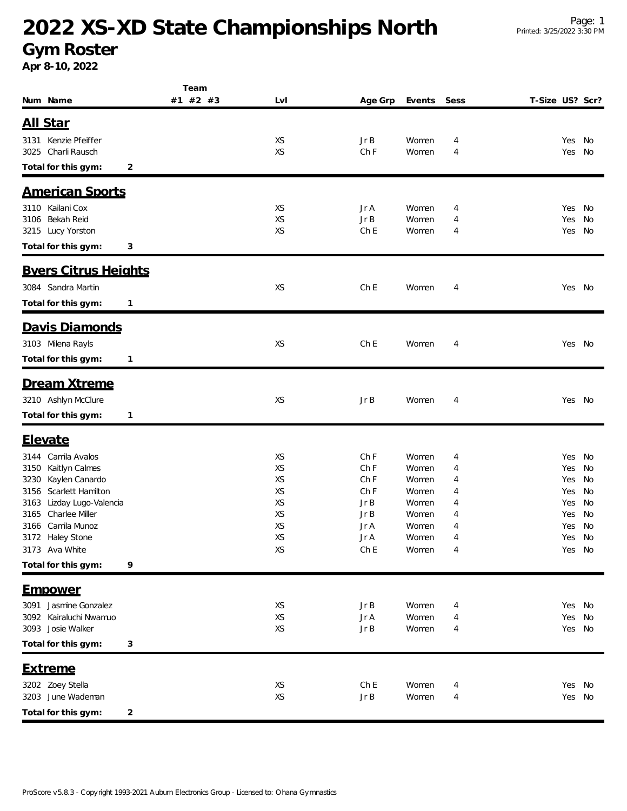## **2022 XS-XD State Championships North**

#### **Gym Roster**

**Apr 8-10, 2022**

|                                     | Team     |     |                 |        |      |                 |        |    |
|-------------------------------------|----------|-----|-----------------|--------|------|-----------------|--------|----|
| Num Name                            | #1 #2 #3 | LvI | Age Grp         | Events | Sess | T-Size US? Scr? |        |    |
|                                     |          |     |                 |        |      |                 |        |    |
| <u>All Star</u>                     |          |     |                 |        |      |                 |        |    |
| 3131 Kenzie Pfeiffer                |          | XS  | Jr B            | Women  | 4    |                 | Yes    | No |
| Charli Rausch<br>3025               |          | XS  | Ch F            | Women  | 4    |                 | Yes    | No |
| Total for this gym:<br>2            |          |     |                 |        |      |                 |        |    |
| <b>American Sports</b>              |          |     |                 |        |      |                 |        |    |
| 3110 Kailani Cox                    |          | XS  | Jr A            | Women  | 4    |                 | Yes    | No |
| <b>Bekah Reid</b><br>3106           |          | XS  | Jr B            | Women  | 4    |                 | Yes    | No |
| 3215 Lucy Yorston                   |          | XS  | Ch <sub>E</sub> | Women  | 4    |                 | Yes    | No |
| Total for this gym:<br>3            |          |     |                 |        |      |                 |        |    |
| <b>Byers Citrus Heights</b>         |          |     |                 |        |      |                 |        |    |
| 3084 Sandra Martin                  |          | XS  | Ch <sub>E</sub> | Women  |      |                 | Yes No |    |
|                                     |          |     |                 |        | 4    |                 |        |    |
| Total for this gym:<br>$\mathbf{1}$ |          |     |                 |        |      |                 |        |    |
| Davis Diamonds                      |          |     |                 |        |      |                 |        |    |
| 3103 Milena Rayls                   |          | XS  | Ch E            | Women  | 4    |                 | Yes No |    |
| Total for this gym:<br>$\mathbf{1}$ |          |     |                 |        |      |                 |        |    |
|                                     |          |     |                 |        |      |                 |        |    |
| Dream Xtreme                        |          |     |                 |        |      |                 |        |    |
| 3210 Ashlyn McClure                 |          | XS  | JrB             | Women  | 4    |                 | Yes No |    |
| Total for this gym:<br>1            |          |     |                 |        |      |                 |        |    |
| <b>Elevate</b>                      |          |     |                 |        |      |                 |        |    |
| Camila Avalos<br>3144               |          | XS  | Ch F            | Women  | 4    |                 | Yes    | No |
| Kaitlyn Calmes<br>3150              |          | XS  | Ch F            | Women  | 4    |                 | Yes    | No |
| Kaylen Canardo<br>3230              |          | XS  | Ch F            | Women  | 4    |                 | Yes    | No |
| Scarlett Hamilton<br>3156           |          | XS  | Ch F            | Women  | 4    |                 | Yes    | No |
| Lizday Lugo-Valencia<br>3163        |          | XS  | JrB             | Women  | 4    |                 | Yes    | No |
| Charlee Miller<br>3165              |          | XS  | Jr B            | Women  | 4    |                 | Yes    | No |
| Camila Munoz<br>3166                |          | XS  | Jr A            | Women  | 4    |                 | Yes    | No |
| 3172 Haley Stone                    |          | XS  | Jr A            | Women  | 4    |                 | Yes    | No |
| 3173 Ava White                      |          | XS  | Ch E            | Women  | 4    |                 | Yes No |    |
| Total for this gym:<br>9            |          |     |                 |        |      |                 |        |    |
| <u>Empower</u>                      |          |     |                 |        |      |                 |        |    |
| 3091 Jasmine Gonzalez               |          | XS  | JrB             | Women  | 4    |                 | Yes No |    |
| 3092 Kairaluchi Nwamuo              |          | XS  | Jr A            | Women  | 4    |                 | Yes    | No |
| 3093 Josie Walker                   |          | XS  | Jr B            | Women  | 4    |                 | Yes No |    |
| Total for this gym:<br>3            |          |     |                 |        |      |                 |        |    |
| <u>Extreme</u>                      |          |     |                 |        |      |                 |        |    |
| 3202 Zoey Stella                    |          | XS  | Ch E            | Women  | 4    |                 | Yes    | No |
| 3203 June Wademan                   |          | XS  | Jr B            | Women  | 4    |                 | Yes    | No |
|                                     |          |     |                 |        |      |                 |        |    |
| Total for this gym:<br>2            |          |     |                 |        |      |                 |        |    |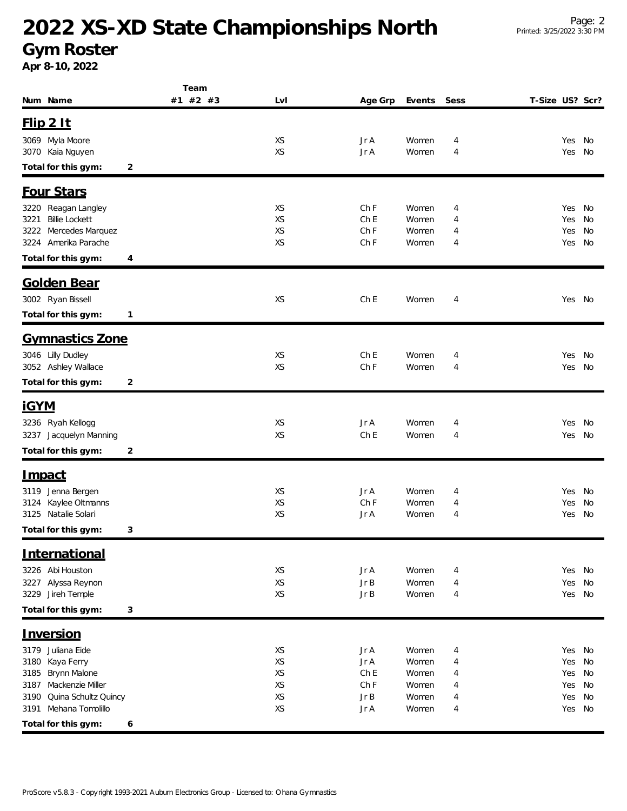# **2022 XS-XD State Championships North**

**Gym Roster**

**Apr 8-10, 2022**

|                                         | Team     |           |                 |                |        |                 |            |          |
|-----------------------------------------|----------|-----------|-----------------|----------------|--------|-----------------|------------|----------|
| Num Name                                | #1 #2 #3 | LvI       | Age Grp         | Events         | Sess   | T-Size US? Scr? |            |          |
| $F$ lip $2$ It                          |          |           |                 |                |        |                 |            |          |
|                                         |          |           |                 |                |        |                 |            |          |
| 3069 Myla Moore<br>3070 Kaia Nguyen     |          | XS<br>XS  | Jr A<br>Jr A    | Women<br>Women | 4<br>4 |                 | Yes<br>Yes | No<br>No |
|                                         |          |           |                 |                |        |                 |            |          |
| Total for this gym:<br>2                |          |           |                 |                |        |                 |            |          |
| Four Stars                              |          |           |                 |                |        |                 |            |          |
| 3220 Reagan Langley                     |          | XS        | Ch F            | Women          | 4      |                 | Yes        | No       |
| <b>Billie Lockett</b><br>3221           |          | XS        | Ch <sub>E</sub> | Women          | 4      |                 | Yes        | No       |
| Mercedes Marquez<br>3222                |          | <b>XS</b> | Ch F            | Women          | 4      |                 | Yes        | No       |
| Amerika Parache<br>3224                 |          | XS        | Ch F            | Women          | 4      |                 | Yes        | No       |
| Total for this gym:<br>4                |          |           |                 |                |        |                 |            |          |
| Golden Bear                             |          |           |                 |                |        |                 |            |          |
|                                         |          |           |                 |                |        |                 |            |          |
| 3002 Ryan Bissell                       |          | XS        | Ch E            | Women          | 4      |                 | Yes        | No       |
| Total for this gym:<br>1                |          |           |                 |                |        |                 |            |          |
| Gymnastics Zone                         |          |           |                 |                |        |                 |            |          |
| 3046 Lilly Dudley                       |          | XS        | Ch E            | Women          | 4      |                 | Yes        | No       |
| 3052 Ashley Wallace                     |          | XS        | Ch F            | Women          | 4      |                 | Yes        | No       |
| Total for this gym:<br>2                |          |           |                 |                |        |                 |            |          |
|                                         |          |           |                 |                |        |                 |            |          |
| <u>iGYM</u>                             |          |           |                 |                |        |                 |            |          |
| 3236 Ryah Kellogg                       |          | XS        | Jr A            | Women          | 4      |                 | Yes        | No       |
| 3237 Jacquelyn Manning                  |          | XS        | Ch E            | Women          | 4      |                 | Yes        | No       |
| Total for this gym:<br>2                |          |           |                 |                |        |                 |            |          |
| <u>Impact</u>                           |          |           |                 |                |        |                 |            |          |
| 3119 Jenna Bergen                       |          | XS        | Jr A            | Women          | 4      |                 | Yes        | No       |
| Kaylee Oltmanns<br>3124                 |          | XS        | Ch F            | Women          | 4      |                 | Yes        | No       |
| 3125 Natalie Solari                     |          | XS        | Jr A            | Women          | 4      |                 | Yes        | No       |
| Total for this gym:<br>3                |          |           |                 |                |        |                 |            |          |
| <b>International</b>                    |          |           |                 |                |        |                 |            |          |
|                                         |          |           |                 |                |        |                 |            |          |
| 3226 Abi Houston                        |          | XS        | Jr A            | Women          | 4      |                 | Yes No     |          |
| 3227 Alyssa Reynon<br>3229 Jireh Temple |          | XS<br>XS  | Jr B<br>Jr B    | Women<br>Women | 4<br>4 |                 | Yes<br>Yes | No<br>No |
|                                         |          |           |                 |                |        |                 |            |          |
| Total for this gym:<br>3                |          |           |                 |                |        |                 |            |          |
| <b>Inversion</b>                        |          |           |                 |                |        |                 |            |          |
| 3179 Juliana Eide                       |          | XS        | Jr A            | Women          | 4      |                 | Yes        | No       |
| Kaya Ferry<br>3180                      |          | XS        | Jr A            | Women          | 4      |                 | Yes        | No       |
| Brynn Malone<br>3185                    |          | XS        | Ch E            | Women          | 4      |                 | Yes        | No       |
| Mackenzie Miller<br>3187                |          | XS        | Ch F            | Women          | 4      |                 | Yes        | No       |
| Quina Schultz Quincy<br>3190            |          | XS        | JrB             | Women          | 4      |                 | Yes        | No       |
| Mehana Tomolillo<br>3191                |          | XS        | Jr A            | Women          | 4      |                 | Yes        | No       |
| Total for this gym:<br>6                |          |           |                 |                |        |                 |            |          |